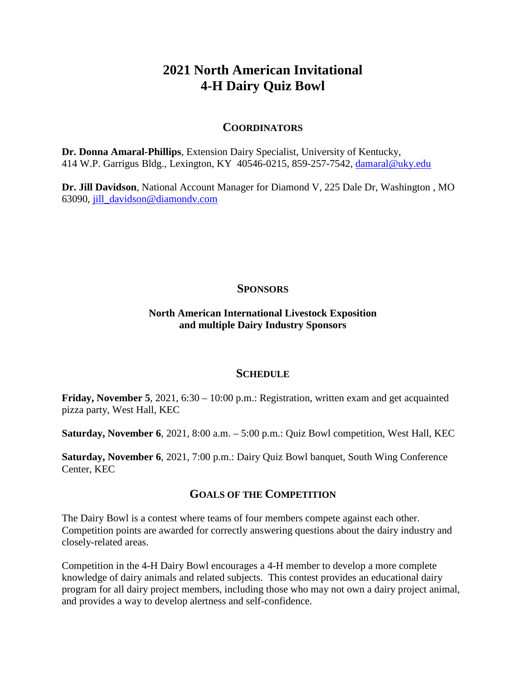# **2021 North American Invitational 4-H Dairy Quiz Bowl**

## **COORDINATORS**

**Dr. Donna Amaral-Phillips**, Extension Dairy Specialist, University of Kentucky, 414 W.P. Garrigus Bldg., Lexington, KY 40546-0215, 859-257-7542, [damaral@uky.edu](mailto:damaral@uky.edu)

**Dr. Jill Davidson**, National Account Manager for Diamond V, 225 Dale Dr, Washington , MO 63090, [jill\\_davidson@diamondv.com](mailto:jill_davidson@diamondv.com)

## **SPONSORS**

## **North American International Livestock Exposition and multiple Dairy Industry Sponsors**

#### **SCHEDULE**

**Friday, November 5**, 2021, 6:30 – 10:00 p.m.: Registration, written exam and get acquainted pizza party, West Hall, KEC

**Saturday, November 6**, 2021, 8:00 a.m. – 5:00 p.m.: Quiz Bowl competition, West Hall, KEC

**Saturday, November 6**, 2021, 7:00 p.m.: Dairy Quiz Bowl banquet, South Wing Conference Center, KEC

# **GOALS OF THE COMPETITION**

The Dairy Bowl is a contest where teams of four members compete against each other. Competition points are awarded for correctly answering questions about the dairy industry and closely-related areas.

Competition in the 4-H Dairy Bowl encourages a 4-H member to develop a more complete knowledge of dairy animals and related subjects. This contest provides an educational dairy program for all dairy project members, including those who may not own a dairy project animal, and provides a way to develop alertness and self-confidence.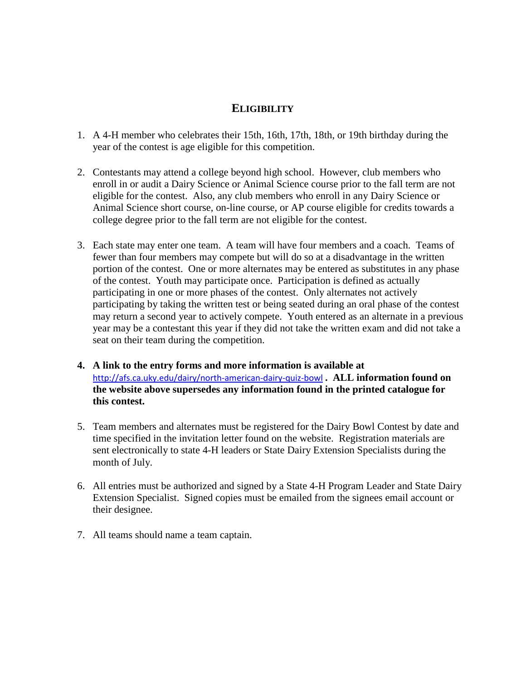# **ELIGIBILITY**

- 1. A 4-H member who celebrates their 15th, 16th, 17th, 18th, or 19th birthday during the year of the contest is age eligible for this competition.
- 2. Contestants may attend a college beyond high school. However, club members who enroll in or audit a Dairy Science or Animal Science course prior to the fall term are not eligible for the contest. Also, any club members who enroll in any Dairy Science or Animal Science short course, on-line course, or AP course eligible for credits towards a college degree prior to the fall term are not eligible for the contest.
- 3. Each state may enter one team. A team will have four members and a coach. Teams of fewer than four members may compete but will do so at a disadvantage in the written portion of the contest. One or more alternates may be entered as substitutes in any phase of the contest. Youth may participate once. Participation is defined as actually participating in one or more phases of the contest. Only alternates not actively participating by taking the written test or being seated during an oral phase of the contest may return a second year to actively compete. Youth entered as an alternate in a previous year may be a contestant this year if they did not take the written exam and did not take a seat on their team during the competition.
- **4. A link to the entry forms and more information is available at**  <http://afs.ca.uky.edu/dairy/north-american-dairy-quiz-bowl> **. ALL information found on the website above supersedes any information found in the printed catalogue for this contest.**
- 5. Team members and alternates must be registered for the Dairy Bowl Contest by date and time specified in the invitation letter found on the website. Registration materials are sent electronically to state 4-H leaders or State Dairy Extension Specialists during the month of July.
- 6. All entries must be authorized and signed by a State 4-H Program Leader and State Dairy Extension Specialist. Signed copies must be emailed from the signees email account or their designee.
- 7. All teams should name a team captain.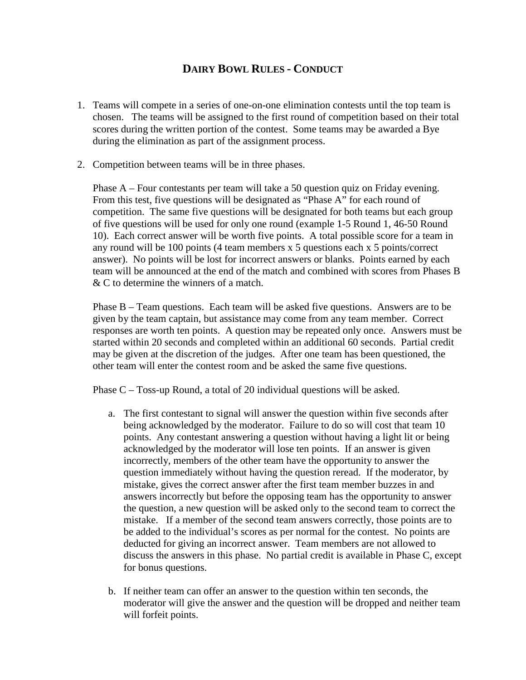# **DAIRY BOWL RULES - CONDUCT**

- 1. Teams will compete in a series of one-on-one elimination contests until the top team is chosen. The teams will be assigned to the first round of competition based on their total scores during the written portion of the contest. Some teams may be awarded a Bye during the elimination as part of the assignment process.
- 2. Competition between teams will be in three phases.

Phase A – Four contestants per team will take a 50 question quiz on Friday evening. From this test, five questions will be designated as "Phase A" for each round of competition. The same five questions will be designated for both teams but each group of five questions will be used for only one round (example 1-5 Round 1, 46-50 Round 10). Each correct answer will be worth five points. A total possible score for a team in any round will be 100 points (4 team members x 5 questions each x 5 points/correct answer). No points will be lost for incorrect answers or blanks. Points earned by each team will be announced at the end of the match and combined with scores from Phases B & C to determine the winners of a match.

Phase B – Team questions. Each team will be asked five questions. Answers are to be given by the team captain, but assistance may come from any team member. Correct responses are worth ten points. A question may be repeated only once. Answers must be started within 20 seconds and completed within an additional 60 seconds. Partial credit may be given at the discretion of the judges. After one team has been questioned, the other team will enter the contest room and be asked the same five questions.

Phase C – Toss-up Round, a total of 20 individual questions will be asked.

- a. The first contestant to signal will answer the question within five seconds after being acknowledged by the moderator. Failure to do so will cost that team 10 points. Any contestant answering a question without having a light lit or being acknowledged by the moderator will lose ten points. If an answer is given incorrectly, members of the other team have the opportunity to answer the question immediately without having the question reread. If the moderator, by mistake, gives the correct answer after the first team member buzzes in and answers incorrectly but before the opposing team has the opportunity to answer the question, a new question will be asked only to the second team to correct the mistake. If a member of the second team answers correctly, those points are to be added to the individual's scores as per normal for the contest. No points are deducted for giving an incorrect answer. Team members are not allowed to discuss the answers in this phase. No partial credit is available in Phase C, except for bonus questions.
- b. If neither team can offer an answer to the question within ten seconds, the moderator will give the answer and the question will be dropped and neither team will forfeit points.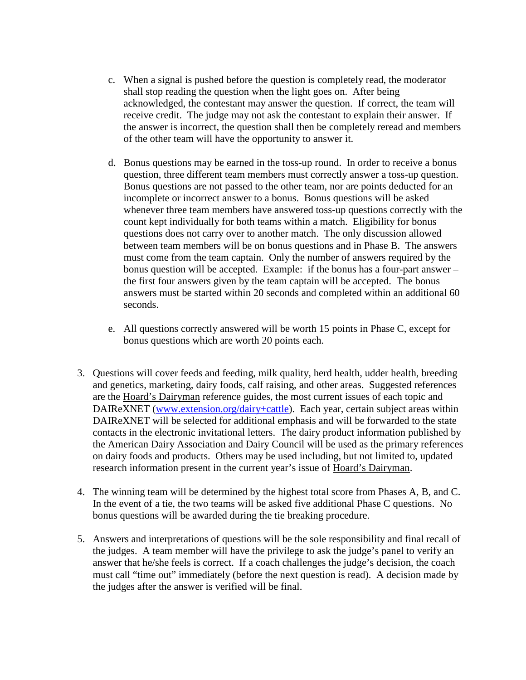- c. When a signal is pushed before the question is completely read, the moderator shall stop reading the question when the light goes on. After being acknowledged, the contestant may answer the question. If correct, the team will receive credit. The judge may not ask the contestant to explain their answer. If the answer is incorrect, the question shall then be completely reread and members of the other team will have the opportunity to answer it.
- d. Bonus questions may be earned in the toss-up round. In order to receive a bonus question, three different team members must correctly answer a toss-up question. Bonus questions are not passed to the other team, nor are points deducted for an incomplete or incorrect answer to a bonus. Bonus questions will be asked whenever three team members have answered toss-up questions correctly with the count kept individually for both teams within a match. Eligibility for bonus questions does not carry over to another match. The only discussion allowed between team members will be on bonus questions and in Phase B. The answers must come from the team captain. Only the number of answers required by the bonus question will be accepted. Example: if the bonus has a four-part answer – the first four answers given by the team captain will be accepted. The bonus answers must be started within 20 seconds and completed within an additional 60 seconds.
- e. All questions correctly answered will be worth 15 points in Phase C, except for bonus questions which are worth 20 points each.
- 3. Questions will cover feeds and feeding, milk quality, herd health, udder health, breeding and genetics, marketing, dairy foods, calf raising, and other areas. Suggested references are the Hoard's Dairyman reference guides, the most current issues of each topic and DAIReXNET [\(www.extension.org/dairy+cattle\)](http://www.extension.org/dairy+cattle). Each year, certain subject areas within DAIReXNET will be selected for additional emphasis and will be forwarded to the state contacts in the electronic invitational letters. The dairy product information published by the American Dairy Association and Dairy Council will be used as the primary references on dairy foods and products. Others may be used including, but not limited to, updated research information present in the current year's issue of Hoard's Dairyman.
- 4. The winning team will be determined by the highest total score from Phases A, B, and C. In the event of a tie, the two teams will be asked five additional Phase C questions. No bonus questions will be awarded during the tie breaking procedure.
- 5. Answers and interpretations of questions will be the sole responsibility and final recall of the judges. A team member will have the privilege to ask the judge's panel to verify an answer that he/she feels is correct. If a coach challenges the judge's decision, the coach must call "time out" immediately (before the next question is read). A decision made by the judges after the answer is verified will be final.